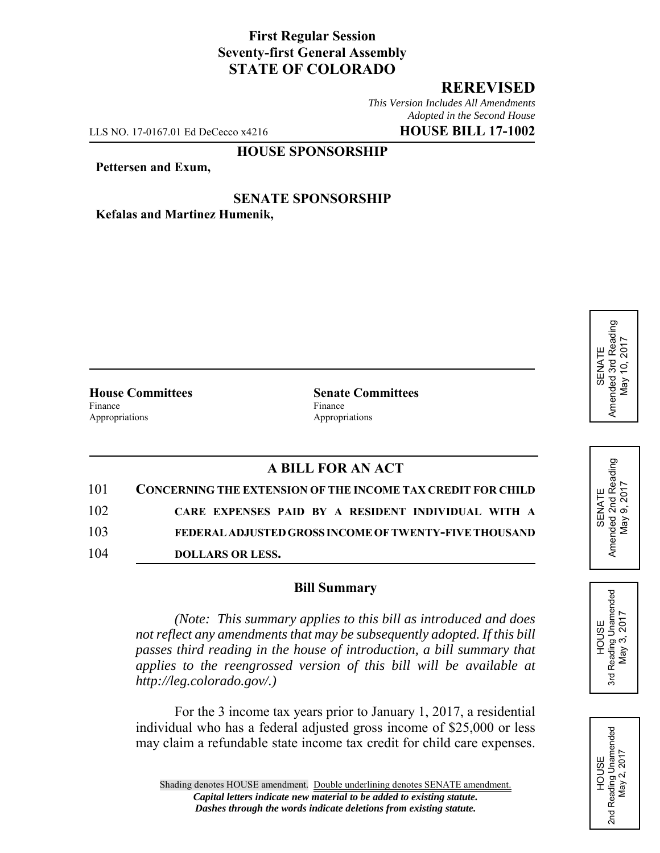# **First Regular Session Seventy-first General Assembly STATE OF COLORADO**

## **REREVISED**

*This Version Includes All Amendments Adopted in the Second House*

LLS NO. 17-0167.01 Ed DeCecco x4216 **HOUSE BILL 17-1002**

### **HOUSE SPONSORSHIP**

#### **Pettersen and Exum,**

#### **SENATE SPONSORSHIP Kefalas and Martinez Humenik,**

Finance Finance **Finance** Appropriations Appropriations

**House Committees Senate Committees** 

# **A BILL FOR AN ACT**

| 101 | <b>CONCERNING THE EXTENSION OF THE INCOME TAX CREDIT FOR CHILD</b> |
|-----|--------------------------------------------------------------------|
| 102 | CARE EXPENSES PAID BY A RESIDENT INDIVIDUAL WITH A                 |
| 103 | FEDERAL ADJUSTED GROSS INCOME OF TWENTY-FIVE THOUSAND              |
| 104 | DOLLARS OR LESS.                                                   |

#### **Bill Summary**

*(Note: This summary applies to this bill as introduced and does not reflect any amendments that may be subsequently adopted. If this bill passes third reading in the house of introduction, a bill summary that applies to the reengrossed version of this bill will be available at http://leg.colorado.gov/.)*

For the 3 income tax years prior to January 1, 2017, a residential individual who has a federal adjusted gross income of \$25,000 or less may claim a refundable state income tax credit for child care expenses.







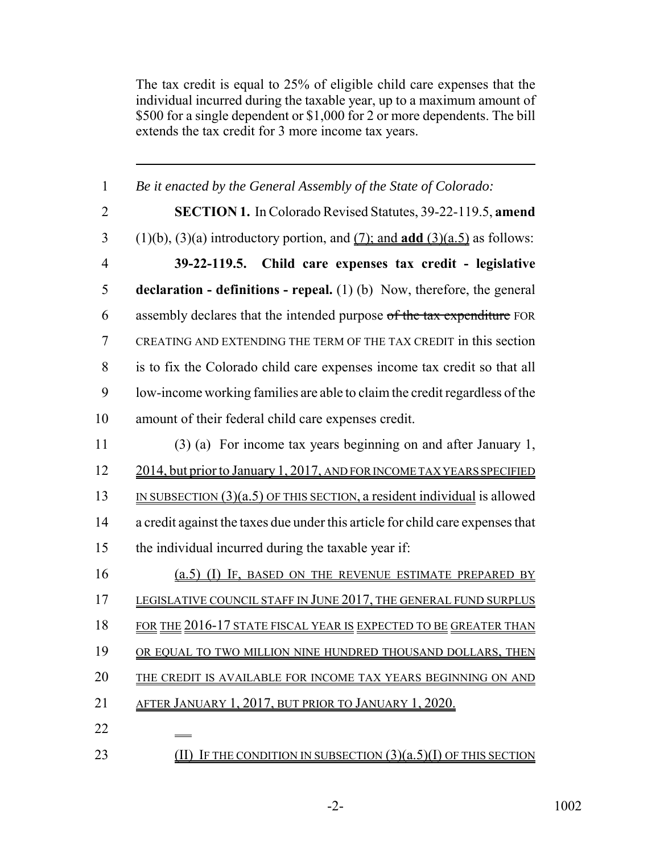The tax credit is equal to 25% of eligible child care expenses that the individual incurred during the taxable year, up to a maximum amount of \$500 for a single dependent or \$1,000 for 2 or more dependents. The bill extends the tax credit for 3 more income tax years.

| $\mathbf{1}$   | Be it enacted by the General Assembly of the State of Colorado:                             |
|----------------|---------------------------------------------------------------------------------------------|
| $\overline{2}$ | <b>SECTION 1.</b> In Colorado Revised Statutes, 39-22-119.5, amend                          |
| 3              | $(1)(b)$ , $(3)(a)$ introductory portion, and $(7)$ ; and <b>add</b> $(3)(a.5)$ as follows: |
| $\overline{4}$ | 39-22-119.5. Child care expenses tax credit - legislative                                   |
| 5              | <b>declaration - definitions - repeal.</b> (1) (b) Now, therefore, the general              |
| 6              | assembly declares that the intended purpose of the tax expenditure FOR                      |
| 7              | CREATING AND EXTENDING THE TERM OF THE TAX CREDIT in this section                           |
| 8              | is to fix the Colorado child care expenses income tax credit so that all                    |
| 9              | low-income working families are able to claim the credit regardless of the                  |
| 10             | amount of their federal child care expenses credit.                                         |
| 11             | (3) (a) For income tax years beginning on and after January 1,                              |
| 12             | 2014, but prior to January 1, 2017, AND FOR INCOME TAX YEARS SPECIFIED                      |
| 13             | IN SUBSECTION $(3)(a.5)$ OF THIS SECTION, a resident individual is allowed                  |
| 14             | a credit against the taxes due under this article for child care expenses that              |
| 15             | the individual incurred during the taxable year if:                                         |
| 16             | (a.5) (I) IF, BASED ON THE REVENUE ESTIMATE PREPARED BY                                     |
| 17             | LEGISLATIVE COUNCIL STAFF IN JUNE 2017, THE GENERAL FUND SURPLUS                            |
| 18             | FOR THE 2016-17 STATE FISCAL YEAR IS EXPECTED TO BE GREATER THAN                            |
| 19             | OR EQUAL TO TWO MILLION NINE HUNDRED THOUSAND DOLLARS, THEN                                 |
| 20             | THE CREDIT IS AVAILABLE FOR INCOME TAX YEARS BEGINNING ON AND                               |
| 21             | AFTER JANUARY 1, 2017, BUT PRIOR TO JANUARY 1, 2020.                                        |
| 22             |                                                                                             |
| 23             | <b>(II)</b> IF THE CONDITION IN SUBSECTION $(3)(a.5)(I)$ OF THIS SECTION                    |

-2- 1002